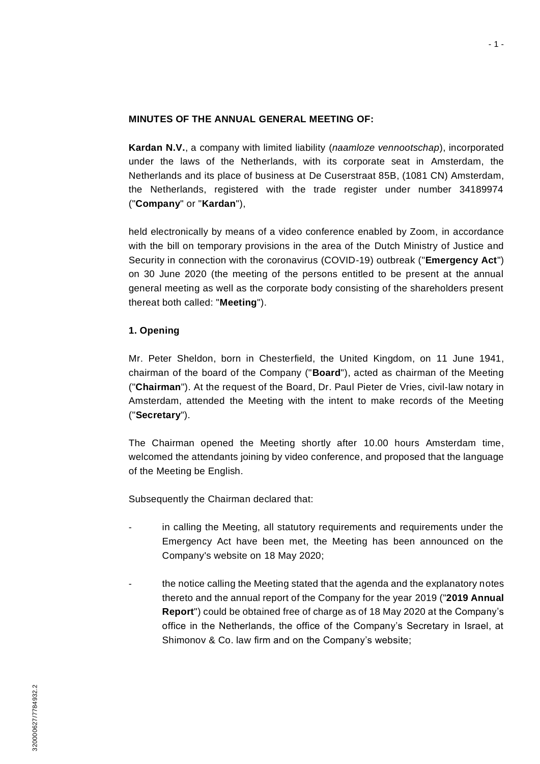#### **MINUTES OF THE ANNUAL GENERAL MEETING OF:**

**Kardan N.V.**, a company with limited liability (*naamloze vennootschap*), incorporated under the laws of the Netherlands, with its corporate seat in Amsterdam, the Netherlands and its place of business at De Cuserstraat 85B, (1081 CN) Amsterdam, the Netherlands, registered with the trade register under number 34189974 ("**Company**" or "**Kardan**"),

held electronically by means of a video conference enabled by Zoom, in accordance with the bill on temporary provisions in the area of the Dutch Ministry of Justice and Security in connection with the coronavirus (COVID-19) outbreak ("**Emergency Act**") on 30 June 2020 (the meeting of the persons entitled to be present at the annual general meeting as well as the corporate body consisting of the shareholders present thereat both called: "**Meeting**").

### <span id="page-0-0"></span>**1. Opening**

Mr. Peter Sheldon, born in Chesterfield, the United Kingdom, on 11 June 1941, chairman of the board of the Company ("**Board**"), acted as chairman of the Meeting ("**Chairman**"). At the request of the Board, Dr. Paul Pieter de Vries, civil-law notary in Amsterdam, attended the Meeting with the intent to make records of the Meeting ("**Secretary**").

The Chairman opened the Meeting shortly after 10.00 hours Amsterdam time, welcomed the attendants joining by video conference, and proposed that the language of the Meeting be English.

Subsequently the Chairman declared that:

- in calling the Meeting, all statutory requirements and requirements under the Emergency Act have been met, the Meeting has been announced on the Company's website on 18 May 2020;
- the notice calling the Meeting stated that the agenda and the explanatory notes thereto and the annual report of the Company for the year 2019 ("**2019 Annual Report**") could be obtained free of charge as of 18 May 2020 at the Company's office in the Netherlands, the office of the Company's Secretary in Israel, at Shimonov & Co. law firm and on the Company's website;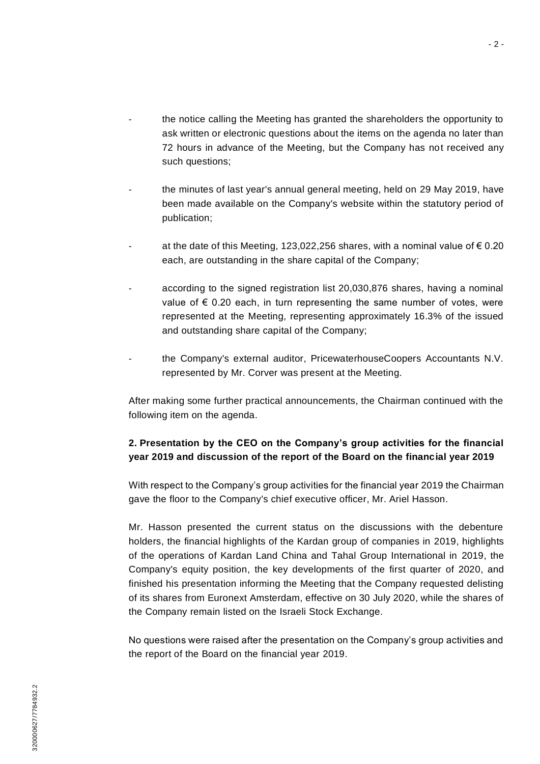- the notice calling the Meeting has granted the shareholders the opportunity to ask written or electronic questions about the items on the agenda no later than 72 hours in advance of the Meeting, but the Company has not received any such questions;
- the minutes of last year's annual general meeting, held on 29 May 2019, have been made available on the Company's website within the statutory period of publication;
- at the date of this Meeting, 123,022,256 shares, with a nominal value of  $\epsilon$  0.20 each, are outstanding in the share capital of the Company;
- according to the signed registration list 20,030,876 shares, having a nominal value of  $\epsilon$  0.20 each, in turn representing the same number of votes, were represented at the Meeting, representing approximately 16.3% of the issued and outstanding share capital of the Company;
- the Company's external auditor, PricewaterhouseCoopers Accountants N.V. represented by Mr. Corver was present at the Meeting.

After making some further practical announcements, the Chairman continued with the following item on the agenda.

# **2. Presentation by the CEO on the Company's group activities for the financial year 2019 and discussion of the report of the Board on the financial year 2019**

With respect to the Company's group activities for the financial year 2019 the Chairman gave the floor to the Company's chief executive officer, Mr. Ariel Hasson.

Mr. Hasson presented the current status on the discussions with the debenture holders, the financial highlights of the Kardan group of companies in 2019, highlights of the operations of Kardan Land China and Tahal Group International in 2019, the Company's equity position, the key developments of the first quarter of 2020, and finished his presentation informing the Meeting that the Company requested delisting of its shares from Euronext Amsterdam, effective on 30 July 2020, while the shares of the Company remain listed on the Israeli Stock Exchange.

No questions were raised after the presentation on the Company's group activities and the report of the Board on the financial year 2019.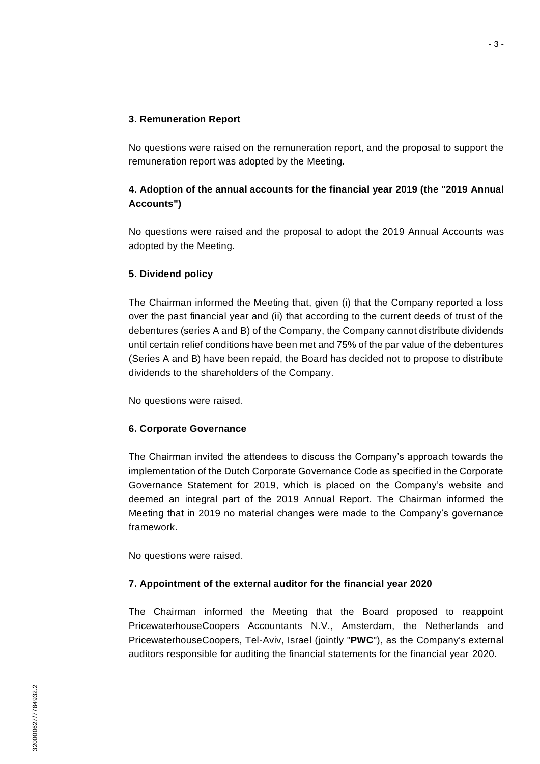### **3. Remuneration Report**

No questions were raised on the remuneration report, and the proposal to support the remuneration report was adopted by the Meeting.

# **4. Adoption of the annual accounts for the financial year 2019 (the "2019 Annual Accounts")**

No questions were raised and the proposal to adopt the 2019 Annual Accounts was adopted by the Meeting.

## **5. Dividend policy**

The Chairman informed the Meeting that, given (i) that the Company reported a loss over the past financial year and (ii) that according to the current deeds of trust of the debentures (series A and B) of the Company, the Company cannot distribute dividends until certain relief conditions have been met and 75% of the par value of the debentures (Series A and B) have been repaid, the Board has decided not to propose to distribute dividends to the shareholders of the Company.

No questions were raised.

## **6. Corporate Governance**

The Chairman invited the attendees to discuss the Company's approach towards the implementation of the Dutch Corporate Governance Code as specified in the Corporate Governance Statement for 2019, which is placed on the Company's website and deemed an integral part of the 2019 Annual Report. The Chairman informed the Meeting that in 2019 no material changes were made to the Company's governance framework.

No questions were raised.

## **7. Appointment of the external auditor for the financial year 2020**

The Chairman informed the Meeting that the Board proposed to reappoint PricewaterhouseCoopers Accountants N.V., Amsterdam, the Netherlands and PricewaterhouseCoopers, Tel-Aviv, Israel (jointly "**PWC**"), as the Company's external auditors responsible for auditing the financial statements for the financial year 2020.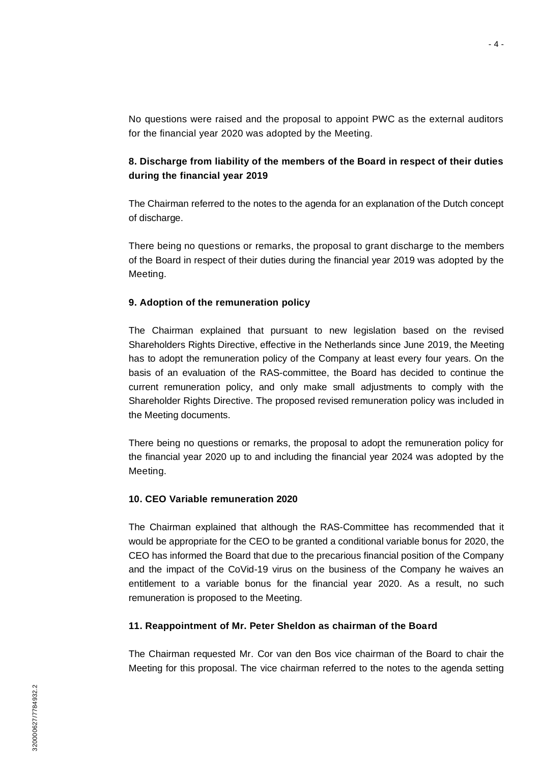No questions were raised and the proposal to appoint PWC as the external auditors for the financial year 2020 was adopted by the Meeting.

## **8. Discharge from liability of the members of the Board in respect of their duties during the financial year 2019**

The Chairman referred to the notes to the agenda for an explanation of the Dutch concept of discharge.

There being no questions or remarks, the proposal to grant discharge to the members of the Board in respect of their duties during the financial year 2019 was adopted by the Meeting.

### **9. Adoption of the remuneration policy**

The Chairman explained that pursuant to new legislation based on the revised Shareholders Rights Directive, effective in the Netherlands since June 2019, the Meeting has to adopt the remuneration policy of the Company at least every four years. On the basis of an evaluation of the RAS-committee, the Board has decided to continue the current remuneration policy, and only make small adjustments to comply with the Shareholder Rights Directive. The proposed revised remuneration policy was included in the Meeting documents.

There being no questions or remarks, the proposal to adopt the remuneration policy for the financial year 2020 up to and including the financial year 2024 was adopted by the Meeting.

### **10. CEO Variable remuneration 2020**

The Chairman explained that although the RAS-Committee has recommended that it would be appropriate for the CEO to be granted a conditional variable bonus for 2020, the CEO has informed the Board that due to the precarious financial position of the Company and the impact of the CoVid-19 virus on the business of the Company he waives an entitlement to a variable bonus for the financial year 2020. As a result, no such remuneration is proposed to the Meeting.

#### **11. Reappointment of Mr. Peter Sheldon as chairman of the Board**

The Chairman requested Mr. Cor van den Bos vice chairman of the Board to chair the Meeting for this proposal. The vice chairman referred to the notes to the agenda setting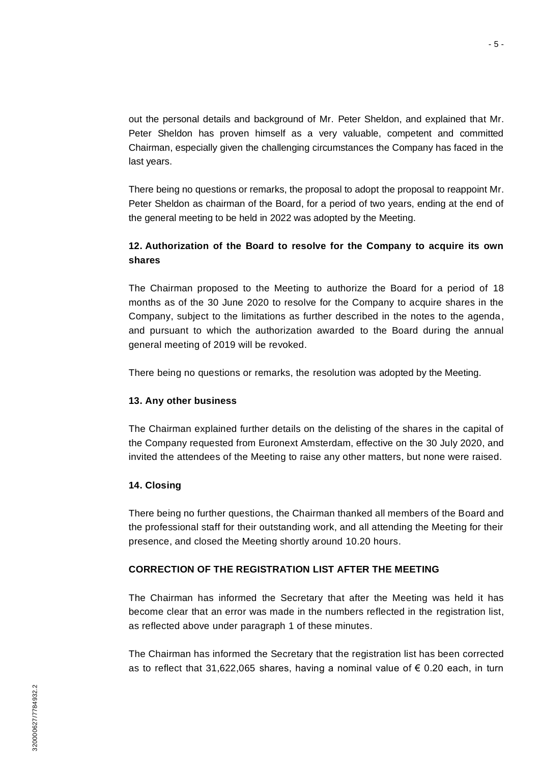out the personal details and background of Mr. Peter Sheldon, and explained that Mr. Peter Sheldon has proven himself as a very valuable, competent and committed Chairman, especially given the challenging circumstances the Company has faced in the last years.

There being no questions or remarks, the proposal to adopt the proposal to reappoint Mr. Peter Sheldon as chairman of the Board, for a period of two years, ending at the end of the general meeting to be held in 2022 was adopted by the Meeting.

## **12. Authorization of the Board to resolve for the Company to acquire its own shares**

The Chairman proposed to the Meeting to authorize the Board for a period of 18 months as of the 30 June 2020 to resolve for the Company to acquire shares in the Company, subject to the limitations as further described in the notes to the agenda, and pursuant to which the authorization awarded to the Board during the annual general meeting of 2019 will be revoked.

There being no questions or remarks, the resolution was adopted by the Meeting.

## **13. Any other business**

The Chairman explained further details on the delisting of the shares in the capital of the Company requested from Euronext Amsterdam, effective on the 30 July 2020, and invited the attendees of the Meeting to raise any other matters, but none were raised.

# **14. Closing**

There being no further questions, the Chairman thanked all members of the Board and the professional staff for their outstanding work, and all attending the Meeting for their presence, and closed the Meeting shortly around 10.20 hours.

# **CORRECTION OF THE REGISTRATION LIST AFTER THE MEETING**

The Chairman has informed the Secretary that after the Meeting was held it has become clear that an error was made in the numbers reflected in the registration list, as reflected above under paragraph [1](#page-0-0) of these minutes.

The Chairman has informed the Secretary that the registration list has been corrected as to reflect that 31,622,065 shares, having a nominal value of  $\epsilon$  0.20 each, in turn

- 5 -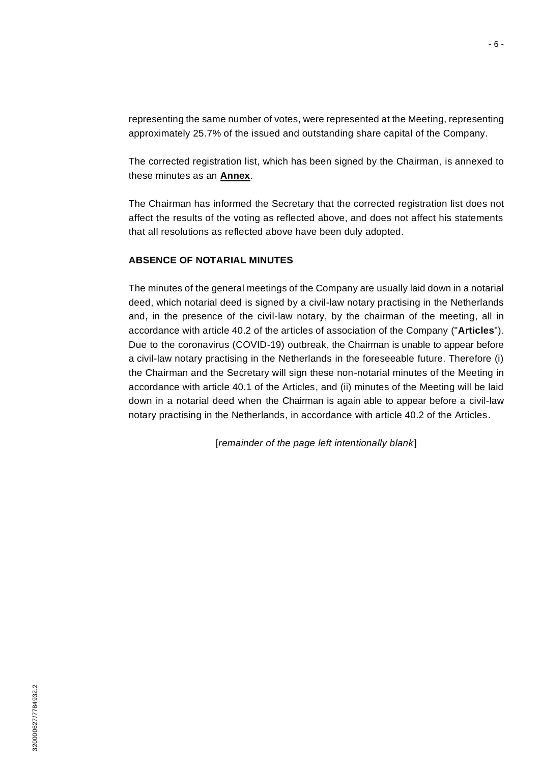representing the same number of votes, were represented at the Meeting, representing approximately 25.7% of the issued and outstanding share capital of the Company.

The corrected registration list, which has been signed by the Chairman, is annexed to these minutes as an **Annex**.

The Chairman has informed the Secretary that the corrected registration list does not affect the results of the voting as reflected above, and does not affect his statements that all resolutions as reflected above have been duly adopted.

#### **ABSENCE OF NOTARIAL MINUTES**

The minutes of the general meetings of the Company are usually laid down in a notarial deed, which notarial deed is signed by a civil-law notary practising in the Netherlands and, in the presence of the civil-law notary, by the chairman of the meeting, all in accordance with article 40.2 of the articles of association of the Company ("**Articles**"). Due to the coronavirus (COVID-19) outbreak, the Chairman is unable to appear before a civil-law notary practising in the Netherlands in the foreseeable future. Therefore (i) the Chairman and the Secretary will sign these non-notarial minutes of the Meeting in accordance with article 40.1 of the Articles, and (ii) minutes of the Meeting will be laid down in a notarial deed when the Chairman is again able to appear before a civil-law notary practising in the Netherlands, in accordance with article 40.2 of the Articles.

[*remainder of the page left intentionally blank*]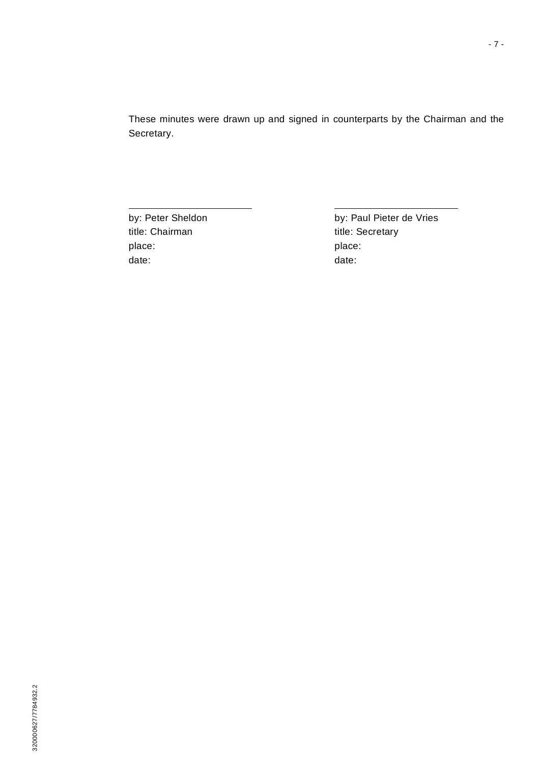These minutes were drawn up and signed in counterparts by the Chairman and the Secretary.

title: Chairman title: Secretary place: place: place: place: place: place: place: place: place: place: place: place: place: place: place: place: place: place: place: place: place: place: place: place: place: place: place: place: place: place: place: place date:  $\qquad \qquad$  date:

by: Peter Sheldon by: Paul Pieter de Vries